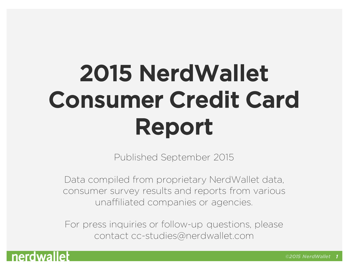## 2015 NerdWallet Consumer Credit Card Report

Published September 2015

Data compiled from proprietary NerdWallet data, consumer survey results and reports from various unaffiliated companies or agencies.

For press inquiries or follow-up questions, please contact cc-studies@nerdwallet.com

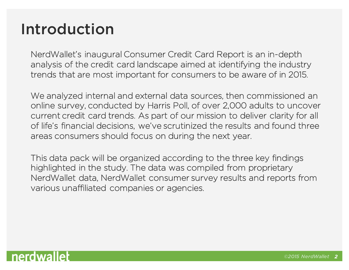#### Introduction

NerdWallet's inaugural Consumer Credit Card Report is an in-depth analysis of the credit card landscape aimed at identifying the industry trends that are most important for consumers to be aware of in 2015.

We analyzed internal and external data sources, then commissioned an online survey, conducted by Harris Poll, of over 2,000 adults to uncover current credit card trends. As part of our mission to deliver clarity for all of life's financial decisions, we've scrutinized the results and found three areas consumers should focus on during the next year.

This data pack will be organized according to the three key findings highlighted in the study. The data was compiled from proprietary NerdWallet data, NerdWallet consumer survey results and reports from various unaffiliated companies or agencies.

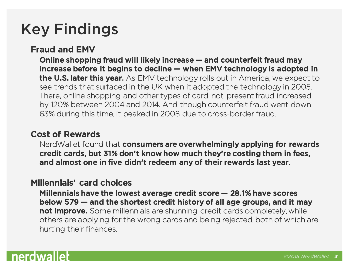## Key Findings

#### Fraud and EMV

Online shopping fraud will likely increase — and counterfeit fraud may increase before it begins to decline — when EMV technology is adopted in the U.S. later this year. As EMV technology rolls out in America, we expect to see trends that surfaced in the UK when it adopted the technology in 2005. There, online shopping and other types of card-not-present fraud increased by 120% between 2004 and 2014. And though counterfeit fraud went down 63% during this time, it peaked in 2008 due to cross-border fraud.

#### Cost of Rewards

NerdWallet found that consumers are overwhelmingly applying for rewards credit cards, but 31% don't know how much they're costing them in fees, and almost one in five didn't redeem any of their rewards last year.

#### Millennials' card choices

Millennials have the lowest average credit score — 28.1% have scores below 579 — and the shortest credit history of all age groups, and it may not improve. Some millennials are shunning credit cards completely, while others are applying for the wrong cards and being rejected, both of which are hurting their finances.

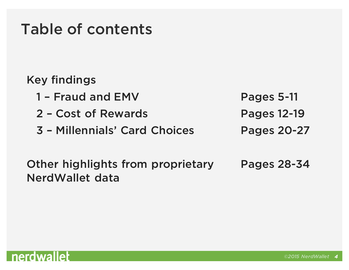#### Table of contents

#### Key findings

- 1 Fraud and EMV Pages 5-11
- 2 Cost of Rewards Pages 12-19
- 3 Millennials' Card Choices Pages 20-27

Other highlights from proprietary NerdWallet data Pages 28-34

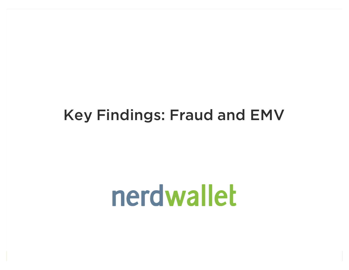#### Key Findings: Fraud and EMV

# nerdwallet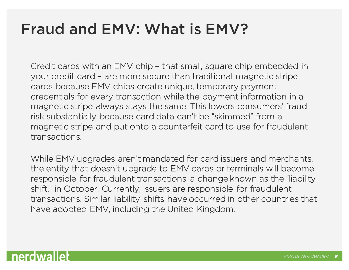#### Fraud and EMV: What is EMV?

Credit cards with an EMV chip – that small, square chip embedded in your credit card – are more secure than traditional magnetic stripe cards because EMV chips create unique, temporary payment credentials for every transaction while the payment information in a magnetic stripe always stays the same. This lowers consumers' fraud risk substantially because card data can't be "skimmed" from a magnetic stripe and put onto a counterfeit card to use for fraudulent transactions.

While EMV upgrades aren't mandated for card issuers and merchants, the entity that doesn't upgrade to EMV cards or terminals will become responsible for fraudulent transactions, a change known as the "liability shift," in October. Currently, issuers are responsible for fraudulent transactions. Similar liability shifts have occurred in other countries that have adopted EMV, including the United Kingdom.

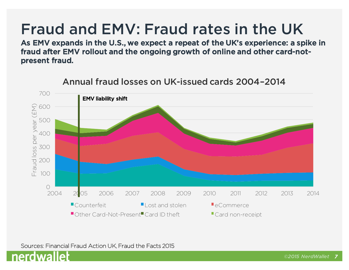#### Fraud and EMV: Fraud rates in the UK

As EMV expands in the U.S., we expect a repeat of the UK's experience: a spike in fraud after EMV rollout and the ongoing growth of online and other card-notpresent fraud.



Annual fraud losses on UK-issued cards 2004–2014

Sources: Financial Fraud Action UK, Fraud the Facts 2015

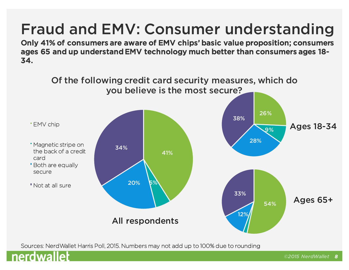Only 41% of consumers are aware of EMV chips' basic value proposition; consumers ages 65 and up understand EMV technology much better than consumers ages 18- 34.



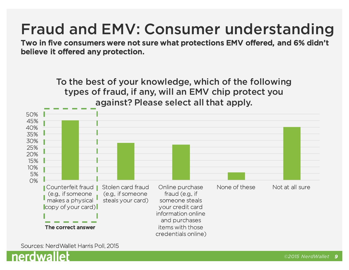Two in five consumers were not sure what protections EMV offered, and 6% didn't believe it offered any protection.

To the best of your knowledge, which of the following types of fraud, if any, will an EMV chip protect you against? Please select all that apply.



Sources: NerdWallet Harris Poll, 2015

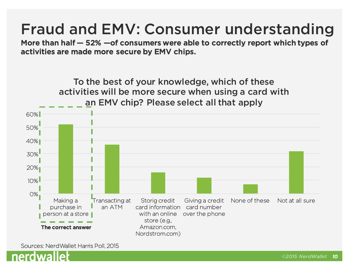More than half — 52% —of consumers were able to correctly report which types of activities are made more secure by EMV chips.



Sources: NerdWallet Harris Poll, 2015

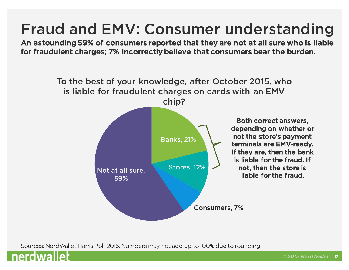An astounding 59% of consumers reported that they are not at all sure who is liable for fraudulent charges; 7% incorrectly believe that consumers bear the burden.



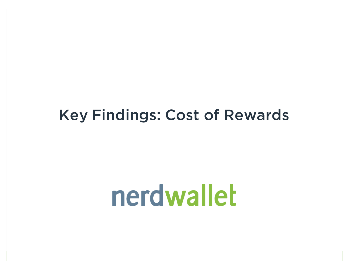#### Key Findings: Cost of Rewards

# nerdwallet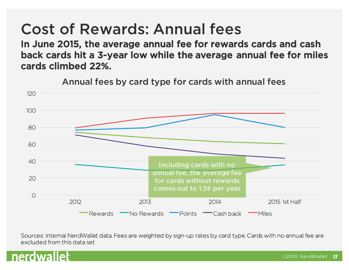## Cost of Rewards: Annual fees

In June 2015, the average annual fee for rewards cards and cash back cards hit a 3-year low while the average annual fee for miles cards climbed 22%.



Annual fees by card type for cards with annual fees

Sources: Internal NerdWallet data. Fees are weighted by sign-up rates by card type. Cards with no annual fee are excluded from this data set

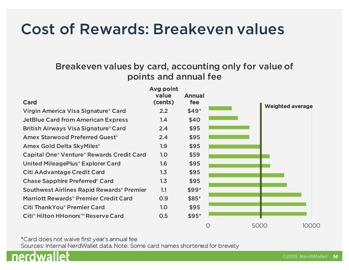#### Cost of Rewards: Breakeven values

#### Breakeven values by card, accounting only for value of points and annual fee



\*Card does not waive first year's annual fee Sources: Internal NerdWallet data. Note: Some card names shortened for brevety

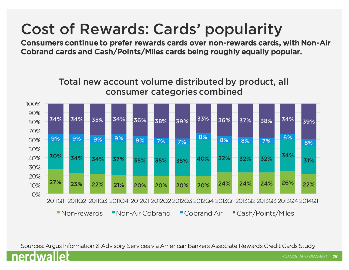## Cost of Rewards: Cards' popularity

Consumers continue to prefer rewards cards over non-rewards cards, with Non-Air Cobrand cards and Cash/Points/Miles cards being roughly equally popular.



Sources: Argus Information & Advisory Services via American Bankers Associate Rewards Credit Cards Study

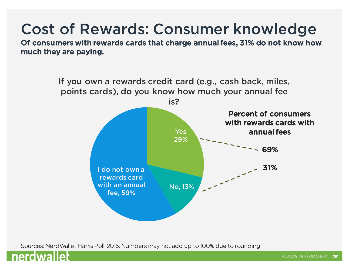Of consumers with rewards cards that charge annual fees, 31% do not know how much they are paying.



![](_page_15_Picture_4.jpeg)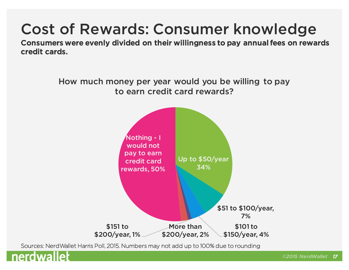Consumers were evenly divided on their willingness to pay annual fees on rewards credit cards.

![](_page_16_Figure_2.jpeg)

![](_page_16_Picture_4.jpeg)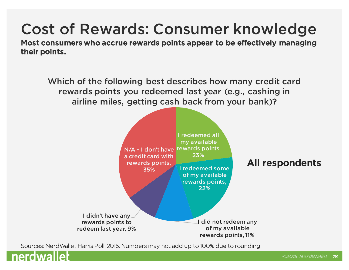Most consumers who accrue rewards points appear to be effectively managing their points.

Which of the following best describes how many credit card rewards points you redeemed last year (e.g., cashing in airline miles, getting cash back from your bank)?

![](_page_17_Figure_3.jpeg)

![](_page_17_Picture_5.jpeg)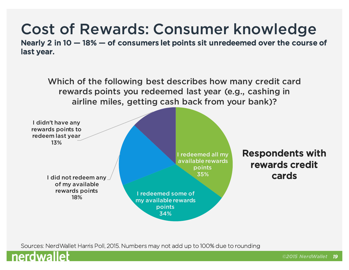Nearly 2 in 10 — 18% — of consumers let points sit unredeemed over the course of last year.

Which of the following best describes how many credit card rewards points you redeemed last year (e.g., cashing in airline miles, getting cash back from your bank)?

![](_page_18_Figure_3.jpeg)

![](_page_18_Picture_5.jpeg)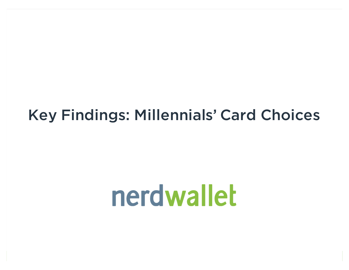#### Key Findings: Millennials' Card Choices

# nerdwallet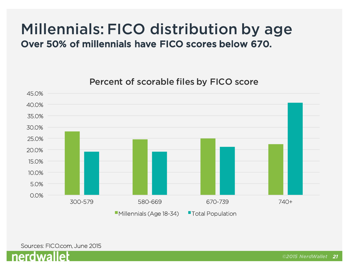#### Millennials: FICO distribution by age Over 50% of millennials have FICO scores below 670.

Percent of scorable files by FICO score

![](_page_20_Figure_2.jpeg)

**Millennials (Age 18-34)** Total Population

Sources: FICO.com, June 2015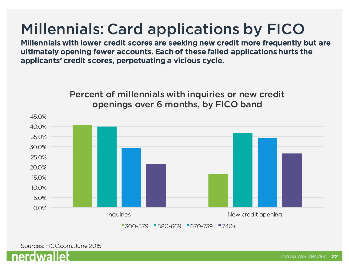## Millennials: Card applications by FICO

Millennials with lower credit scores are seeking new credit more frequently but are ultimately opening fewer accounts. Each of these failed applications hurts the applicants' credit scores, perpetuating a vicious cycle.

> Percent of millennials with inquiries or new credit openings over 6 months, by FICO band

![](_page_21_Figure_3.jpeg)

■300-579 ■580-669 ■670-739 ■740+

![](_page_21_Picture_5.jpeg)

![](_page_21_Picture_6.jpeg)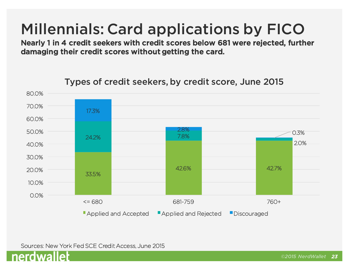## Millennials: Card applications by FICO

Nearly 1 in 4 credit seekers with credit scores below 681 were rejected, further damaging their credit scores without getting the card.

![](_page_22_Figure_2.jpeg)

#### Types of credit seekers, by credit score, June 2015

Sources: New York Fed SCE Credit Access, June 2015

![](_page_22_Picture_5.jpeg)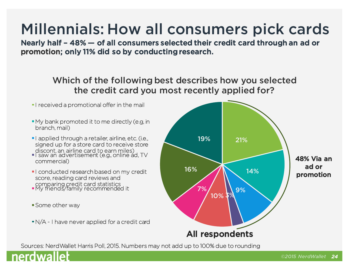## Millennials: How all consumers pick cards

Nearly half – 48% — of all consumers selected their credit card through an ad or promotion; only 11% did so by conducting research.

> Which of the following best describes how you selected the credit card you most recently applied for?

- **I** received a promotional offer in the mail
- My bank promoted it to me directly (e.g, in branch, mail)
- **I** applied through a retailer, airline, etc. (i.e., signed up for a store card to receive store discont, an airline card to earn miles)
- I saw an advertisement (e.g., online ad, TV commercial)
- **I** conducted research based on my credit score, reading card reviews and comparing credit card statistics<br>My friends/family recommended it
- 
- **Some other way**
- N/A I have never applied for a credit card

![](_page_23_Figure_11.jpeg)

![](_page_23_Picture_13.jpeg)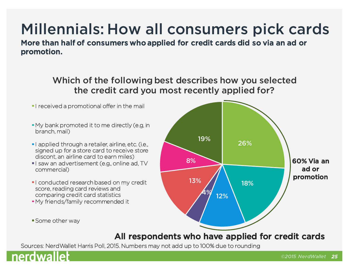## Millennials: How all consumers pick cards

More than half of consumers who applied for credit cards did so via an ad or promotion.

> Which of the following best describes how you selected the credit card you most recently applied for?

- **I** received a promotional offer in the mail
- My bank promoted it to me directly (e.g, in branch, mail)
- **I** applied through a retailer, airline, etc. (i.e., signed up for a store card to receive store discont, an airline card to earn miles)
- I saw an advertisement (e.g., online ad, TV commercial)
- **I** conducted research based on my credit score, reading card reviews and comparing credit card statistics
- My friends/family recommended it
- **Some other way**

![](_page_24_Figure_10.jpeg)

#### All respondents who have applied for credit cards

![](_page_24_Picture_13.jpeg)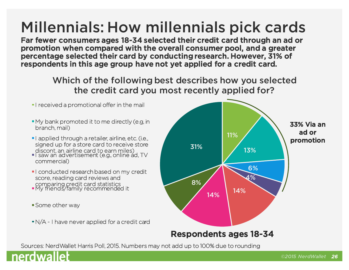## Millennials: How millennials pick cards

Far fewer consumers ages 18-34 selected their credit card through an ad or promotion when compared with the overall consumer pool, and a greater percentage selected their card by conducting research. However, 31% of respondents in this age group have not yet applied for a credit card.

> Which of the following best describes how you selected the credit card you most recently applied for?

**I** received a promotional offer in the mail

- My bank promoted it to me directly (e.g, in branch, mail)
- **I** applied through a retailer, airline, etc. (i.e., signed up for a store card to receive store discont, an airline card to earn miles)
- I saw an advertisement (e.g., online ad, TV commercial)
- **I** conducted research based on my credit score, reading card reviews and comparing credit card statistics<br>My friends/family recommended it
- 
- **Some other way**
- N/A I have never applied for a credit card

![](_page_25_Figure_11.jpeg)

![](_page_25_Picture_13.jpeg)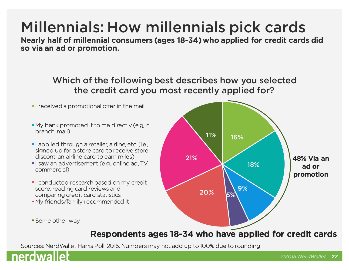#### *©2015 NerdWallet 27*

## Millennials: How millennials pick cards

Nearly half of millennial consumers (ages 18-34) who applied for credit cards did so via an ad or promotion.

> Which of the following best describes how you selected the credit card you most recently applied for?

- **I** received a promotional offer in the mail
- My bank promoted it to me directly (e.g, in branch, mail)
- **I** applied through a retailer, airline, etc. (i.e., signed up for a store card to receive store discont, an airline card to earn miles)
- I saw an advertisement (e.g., online ad, TV commercial)
- **I** conducted research based on my credit score, reading card reviews and comparing credit card statistics
- My friends/family recommended it
- **Some other way**

#### Respondents ages 18-34 who have applied for credit cards

![](_page_26_Picture_13.jpeg)

![](_page_26_Figure_14.jpeg)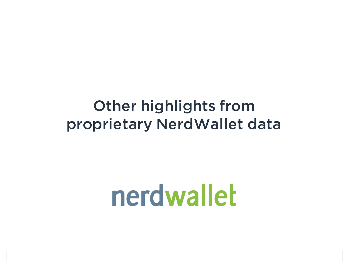#### Other highlights from proprietary NerdWallet data

# nerdwallet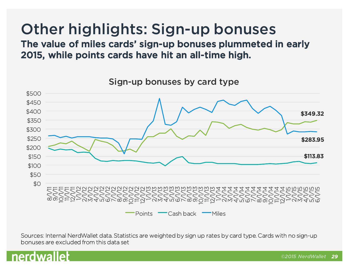#### Other highlights: Sign-up bonuses

The value of miles cards' sign-up bonuses plummeted in early 2015, while points cards have hit an all-time high.

![](_page_28_Figure_2.jpeg)

Sign-up bonuses by card type

Sources: Internal NerdWallet data. Statistics are weighted by sign up rates by card type. Cards with no sign-up bonuses are excluded from this data set

![](_page_28_Picture_5.jpeg)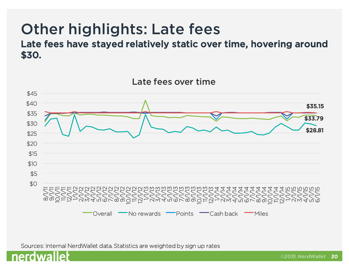## Other highlights: Late fees

Late fees have stayed relatively static over time, hovering around \$30.

![](_page_29_Figure_2.jpeg)

![](_page_29_Picture_4.jpeg)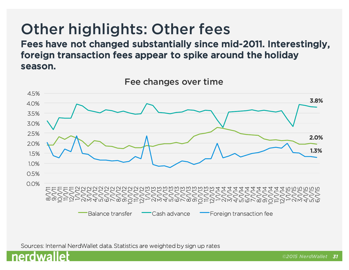### Other highlights: Other fees

Fees have not changed substantially since mid-2011. Interestingly, foreign transaction fees appear to spike around the holiday season.

![](_page_30_Figure_2.jpeg)

Fee changes over time

![](_page_30_Picture_5.jpeg)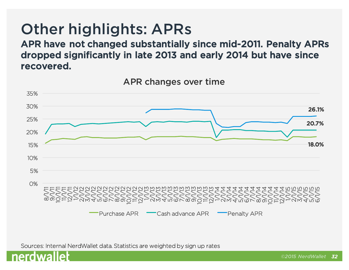#### Other highlights: APRs

APR have not changed substantially since mid-2011. Penalty APRs dropped significantly in late 2013 and early 2014 but have since recovered.

![](_page_31_Figure_2.jpeg)

APR changes over time

![](_page_31_Picture_5.jpeg)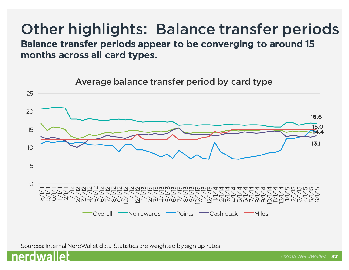#### Other highlights: Balance transfer periods Balance transfer periods appear to be converging to around 15 months across all card types.

![](_page_32_Figure_1.jpeg)

![](_page_32_Picture_3.jpeg)